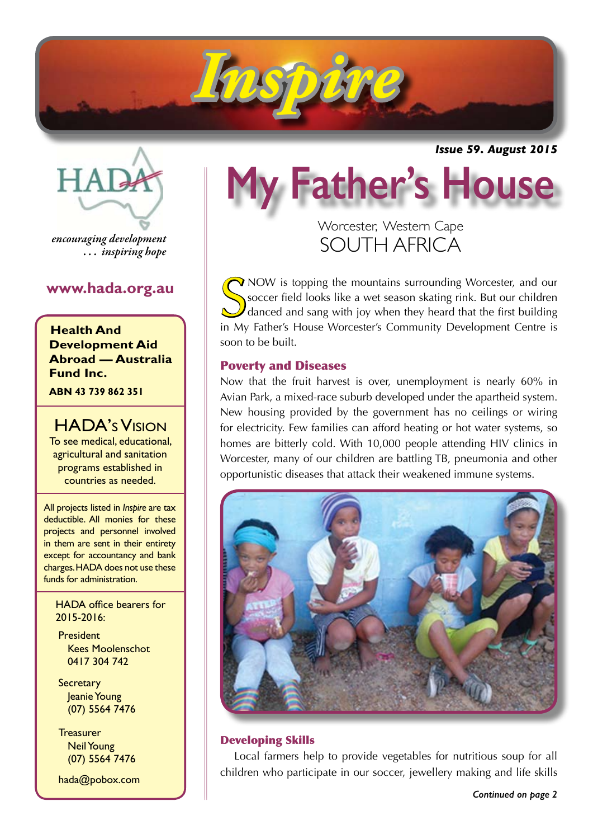

*Issue 59. August 2015*



*encouraging development . . . inspiring hope*

# **www.hada.org.au**

**Health And Development Aid Abroad — Australia Fund Inc.**

**ABN 43 739 862 351**

 HADA's Vision To see medical, educational, agricultural and sanitation programs established in countries as needed.

All projects listed in *Inspire* are tax deductible. All monies for these projects and personnel involved in them are sent in their entirety except for accountancy and bank charges. HADA does not use these funds for administration.

HADA office bearers for 2015-2016:

**President**  Kees Moolenschot 0417 304 742

**Secretary**  Jeanie Young (07) 5564 7476

**Treasurer**  Neil Young (07) 5564 7476

hada@pobox.com

# **My Father's House**

Worcester, Western Cape SOUTH AFRICA

Show is topping the mountains surrounding Worcester, and our Soccer field looks like a wet season skating rink. But our children danced and sang with joy when they heard that the first building in My Father's House Worcest  $\sqrt{\ }$  NOW is topping the mountains surrounding Worcester, and our soccer field looks like a wet season skating rink. But our children danced and sang with joy when they heard that the first building soon to be built.

# Poverty and Diseases

Now that the fruit harvest is over, unemployment is nearly 60% in Avian Park, a mixed-race suburb developed under the apartheid system. New housing provided by the government has no ceilings or wiring for electricity. Few families can afford heating or hot water systems, so homes are bitterly cold. With 10,000 people attending HIV clinics in Worcester, many of our children are battling TB, pneumonia and other opportunistic diseases that attack their weakened immune systems.



# Developing Skills

Local farmers help to provide vegetables for nutritious soup for all children who participate in our soccer, jewellery making and life skills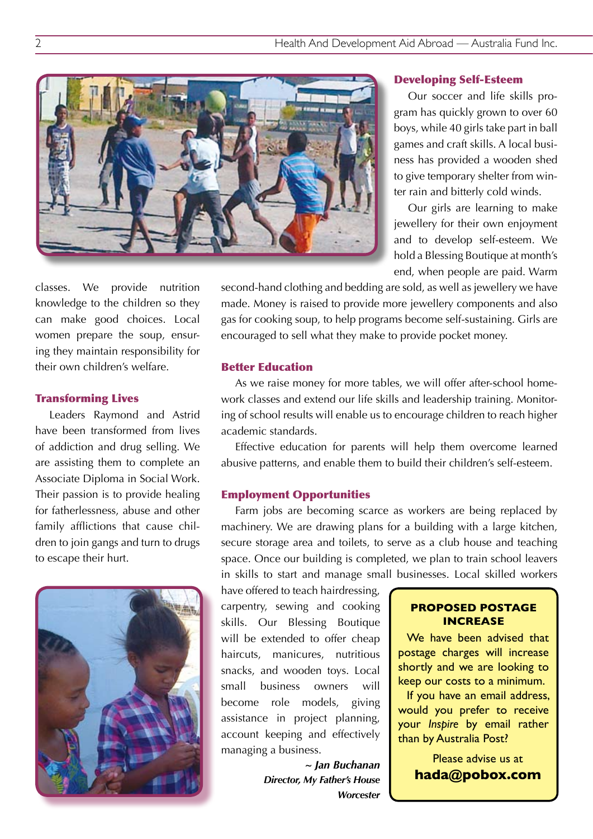

#### Developing Self-Esteem

Our soccer and life skills program has quickly grown to over 60 boys, while 40 girls take part in ball games and craft skills. A local business has provided a wooden shed to give temporary shelter from winter rain and bitterly cold winds.

Our girls are learning to make jewellery for their own enjoyment and to develop self-esteem. We hold a Blessing Boutique at month's end, when people are paid. Warm

classes. We provide nutrition knowledge to the children so they can make good choices. Local women prepare the soup, ensuring they maintain responsibility for their own children's welfare.

#### Transforming Lives

Leaders Raymond and Astrid have been transformed from lives of addiction and drug selling. We are assisting them to complete an Associate Diploma in Social Work. Their passion is to provide healing for fatherlessness, abuse and other family afflictions that cause children to join gangs and turn to drugs to escape their hurt.



second-hand clothing and bedding are sold, as well as jewellery we have made. Money is raised to provide more jewellery components and also gas for cooking soup, to help programs become self-sustaining. Girls are encouraged to sell what they make to provide pocket money.

#### Better Education

As we raise money for more tables, we will offer after-school homework classes and extend our life skills and leadership training. Monitoring of school results will enable us to encourage children to reach higher academic standards.

Effective education for parents will help them overcome learned abusive patterns, and enable them to build their children's self-esteem.

#### Employment Opportunities

Farm jobs are becoming scarce as workers are being replaced by machinery. We are drawing plans for a building with a large kitchen, secure storage area and toilets, to serve as a club house and teaching space. Once our building is completed, we plan to train school leavers in skills to start and manage small businesses. Local skilled workers

have offered to teach hairdressing, carpentry, sewing and cooking skills. Our Blessing Boutique will be extended to offer cheap haircuts, manicures, nutritious snacks, and wooden toys. Local small business owners will become role models, giving assistance in project planning, account keeping and effectively managing a business.

> *~ Jan Buchanan Director, My Father's House Worcester*

#### **PROPOSED POSTAGE INCREASE**

We have been advised that postage charges will increase shortly and we are looking to keep our costs to a minimum.

If you have an email address, would you prefer to receive your *Inspire* by email rather than by Australia Post?

> Please advise us at **hada@pobox.com**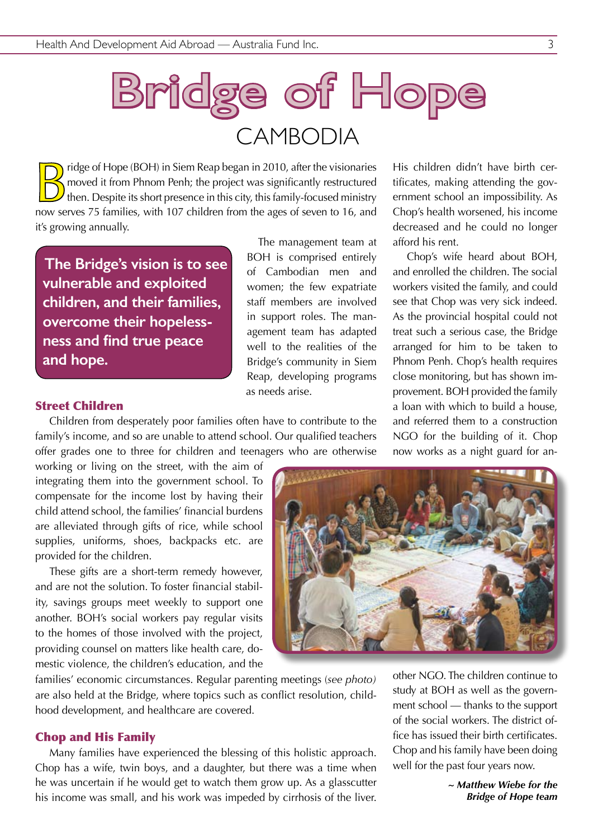

Fridge of Hope (BOH) in Siem Reap began in 2010, after the visionaries<br>moved it from Phnom Penh; the project was significantly restructured<br>then. Despite its short presence in this city, this family-focused ministry<br>now so moved it from Phnom Penh; the project was significantly restructured  $\mathbf y$  then. Despite its short presence in this city, this family-focused ministry now serves 75 families, with 107 children from the ages of seven to 16, and it's growing annually.

**The Bridge's vision is to see vulnerable and exploited children, and their families, overcome their hopelessness and find true peace and hope.**

The management team at BOH is comprised entirely of Cambodian men and women; the few expatriate staff members are involved in support roles. The management team has adapted well to the realities of the Bridge's community in Siem Reap, developing programs as needs arise.

Street Children

Children from desperately poor families often have to contribute to the family's income, and so are unable to attend school. Our qualified teachers offer grades one to three for children and teenagers who are otherwise

working or living on the street, with the aim of integrating them into the government school. To compensate for the income lost by having their child attend school, the families' financial burdens are alleviated through gifts of rice, while school supplies, uniforms, shoes, backpacks etc. are provided for the children.

These gifts are a short-term remedy however, and are not the solution. To foster financial stability, savings groups meet weekly to support one another. BOH's social workers pay regular visits to the homes of those involved with the project, providing counsel on matters like health care, domestic violence, the children's education, and the

families' economic circumstances. Regular parenting meetings (*see photo)*  are also held at the Bridge, where topics such as conflict resolution, childhood development, and healthcare are covered.

#### Chop and His Family

Many families have experienced the blessing of this holistic approach. Chop has a wife, twin boys, and a daughter, but there was a time when he was uncertain if he would get to watch them grow up. As a glasscutter his income was small, and his work was impeded by cirrhosis of the liver. His children didn't have birth certificates, making attending the government school an impossibility. As Chop's health worsened, his income decreased and he could no longer afford his rent.

Chop's wife heard about BOH, and enrolled the children. The social workers visited the family, and could see that Chop was very sick indeed. As the provincial hospital could not treat such a serious case, the Bridge arranged for him to be taken to Phnom Penh. Chop's health requires close monitoring, but has shown improvement. BOH provided the family a loan with which to build a house, and referred them to a construction NGO for the building of it. Chop now works as a night guard for an-

other NGO. The children continue to study at BOH as well as the government school — thanks to the support of the social workers. The district office has issued their birth certificates. Chop and his family have been doing well for the past four years now.

> *~ Matthew Wiebe for the Bridge of Hope team*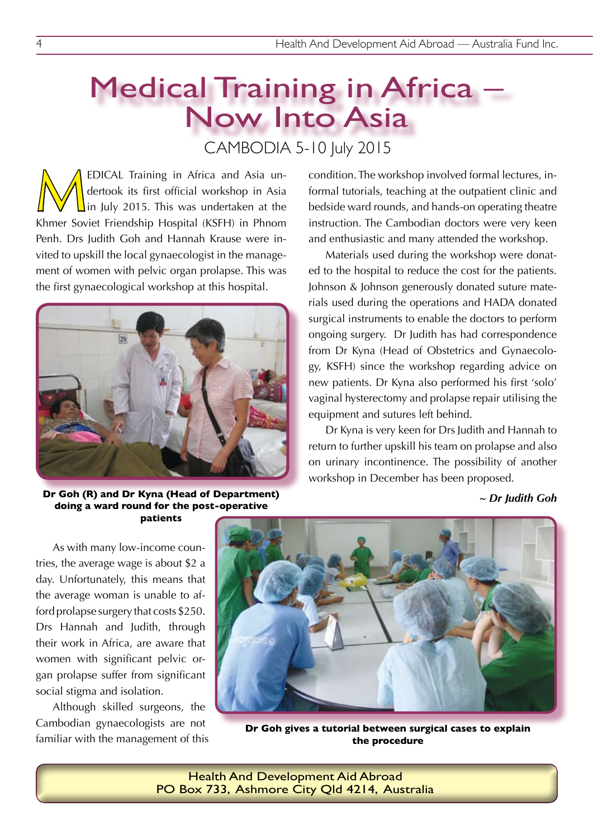# Medical Training in Africa – Now Into Asia CAMBODIA 5-10 July 2015

EDICAL Training in Africa and Asia undertook its first official workshop in Asia<br>In July 2015. This was undertaken at the<br>Khmor Soviet Friendship Hospital (KSEH) in Phnom dertook its first official workshop in Asia in July 2015. This was undertaken at the Khmer Soviet Friendship Hospital (KSFH) in Phnom Penh. Drs Judith Goh and Hannah Krause were invited to upskill the local gynaecologist in the management of women with pelvic organ prolapse. This was the first gynaecological workshop at this hospital.



**Dr Goh (R) and Dr Kyna (Head of Department) doing a ward round for the post-operative patients** 

As with many low-income countries, the average wage is about \$2 a day. Unfortunately, this means that the average woman is unable to afford prolapse surgery that costs \$250. Drs Hannah and Judith, through their work in Africa, are aware that women with significant pelvic organ prolapse suffer from significant social stigma and isolation.

Although skilled surgeons, the Cambodian gynaecologists are not familiar with the management of this

**Dr Goh gives a tutorial between surgical cases to explain the procedure**

Health And Development Aid Abroad PO Box 733, Ashmore City Qld 4214, Australia *~ Dr Judith Goh*

bedside ward rounds, and hands-on operating theatre instruction. The Cambodian doctors were very keen and enthusiastic and many attended the workshop. Materials used during the workshop were donated to the hospital to reduce the cost for the patients. Johnson & Johnson generously donated suture materials used during the operations and HADA donated surgical instruments to enable the doctors to perform ongoing surgery. Dr Judith has had correspondence

condition. The workshop involved formal lectures, informal tutorials, teaching at the outpatient clinic and

from Dr Kyna (Head of Obstetrics and Gynaecology, KSFH) since the workshop regarding advice on new patients. Dr Kyna also performed his first 'solo' vaginal hysterectomy and prolapse repair utilising the equipment and sutures left behind.

Dr Kyna is very keen for Drs Judith and Hannah to return to further upskill his team on prolapse and also on urinary incontinence. The possibility of another workshop in December has been proposed.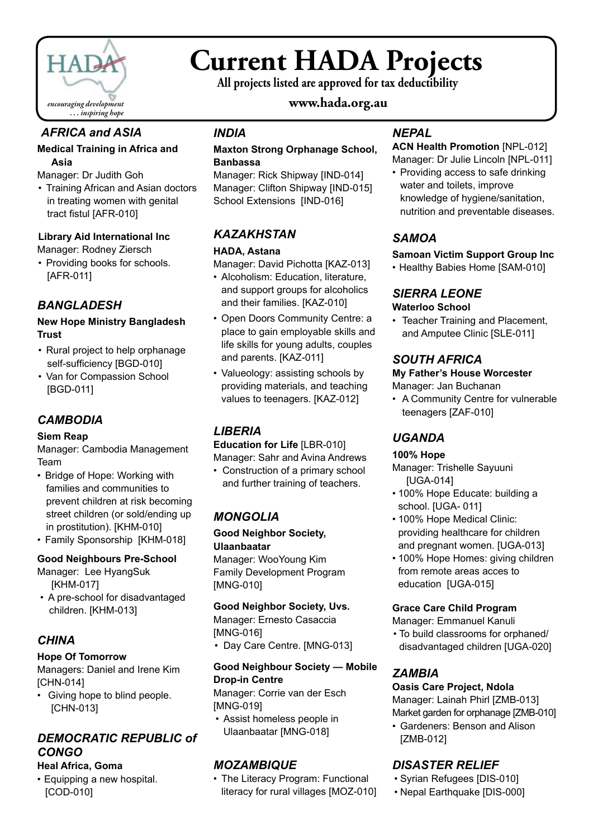

# **Current HADA Projects**

**All projects listed are approved for tax deductibility**

# **www.hada.org.au**

# *AFRICA and ASIA*

#### **Medical Training in Africa and Asia**

Manager: Dr Judith Goh

• Training African and Asian doctors in treating women with genital tract fistul [AFR-010]

#### **Library Aid International Inc**

Manager: Rodney Ziersch

• Providing books for schools. [AFR-011]

# *BANGLADESH*

#### **New Hope Ministry Bangladesh Trust**

- Rural project to help orphanage self-sufficiency [BGD-010]
- Van for Compassion School [BGD-011]

# *CAMBODIA*

#### **Siem Reap**

Manager: Cambodia Management Team

- Bridge of Hope: Working with families and communities to prevent children at risk becoming street children (or sold/ending up in prostitution). [KHM-010]
- Family Sponsorship [KHM-018]

# **Good Neighbours Pre-School**

Manager: Lee HyangSuk [KHM-017]

• A pre-school for disadvantaged children. [KHM-013]

# *CHINA*

# **Hope Of Tomorrow**

Managers: Daniel and Irene Kim [CHN-014]

• Giving hope to blind people. [CHN-013]

# *DEMOCRATIC REPUBLIC of CONGO*

# **Heal Africa, Goma**

• Equipping a new hospital. [COD-010]

# *INDIA*

#### **Maxton Strong Orphanage School, Banbassa**

Manager: Rick Shipway [IND-014] Manager: Clifton Shipway [IND-015] School Extensions [IND-016]

# *KAZAKHSTAN*

#### **HADA, Astana**

Manager: David Pichotta [KAZ-013]

- Alcoholism: Education, literature, and support groups for alcoholics and their families. [KAZ-010]
- Open Doors Community Centre: a place to gain employable skills and life skills for young adults, couples and parents. [KAZ-011]
- Valueology: assisting schools by providing materials, and teaching values to teenagers. [KAZ-012]

# *LIBERIA*

**Education for Life** [LBR-010] Manager: Sahr and Avina Andrews

• Construction of a primary school and further training of teachers.

# *MONGOLIA*

#### **Good Neighbor Society, Ulaanbaatar**

Manager: WooYoung Kim Family Development Program [MNG-010]

# **Good Neighbor Society, Uvs.**

Manager: Ernesto Casaccia [MNG-016]

• Day Care Centre. [MNG-013]

# **Good Neighbour Society — Mobile Drop-in Centre**

Manager: Corrie van der Esch [MNG-019]

• Assist homeless people in Ulaanbaatar [MNG-018]

# *MOZAMBIQUE*

• The Literacy Program: Functional literacy for rural villages [MOZ-010]

# *NEPAL*

**ACN Health Promotion** [NPL-012] Manager: Dr Julie Lincoln [NPL-011]

• Providing access to safe drinking water and toilets, improve knowledge of hygiene/sanitation, nutrition and preventable diseases.

# *SAMOA*

#### **Samoan Victim Support Group Inc**

• Healthy Babies Home [SAM-010]

#### *SIERRA LEONE* **Waterloo School**

• Teacher Training and Placement, and Amputee Clinic [SLE-011]

# *SOUTH AFRICA*

# **My Father's House Worcester**

Manager: Jan Buchanan

• A Community Centre for vulnerable teenagers [ZAF-010]

# *UGANDA*

# **100% Hope**

Manager: Trishelle Sayuuni [UGA-014]

- 100% Hope Educate: building a school. [UGA- 011]
- 100% Hope Medical Clinic: providing healthcare for children and pregnant women. [UGA-013]
- 100% Hope Homes: giving children from remote areas acces to education [UGA-015]

# **Grace Care Child Program**

Manager: Emmanuel Kanuli

• To build classrooms for orphaned/ disadvantaged children [UGA-020]

# *ZAMBIA*

# **Oasis Care Project, Ndola**

Manager: Lainah Phirl [ZMB-013] Market garden for orphanage [ZMB-010]

• Gardeners: Benson and Alison [ZMB-012]

# *DISASTER RELIEF*

- • Syrian Refugees [DIS-010]
- • Nepal Earthquake [DIS-000]